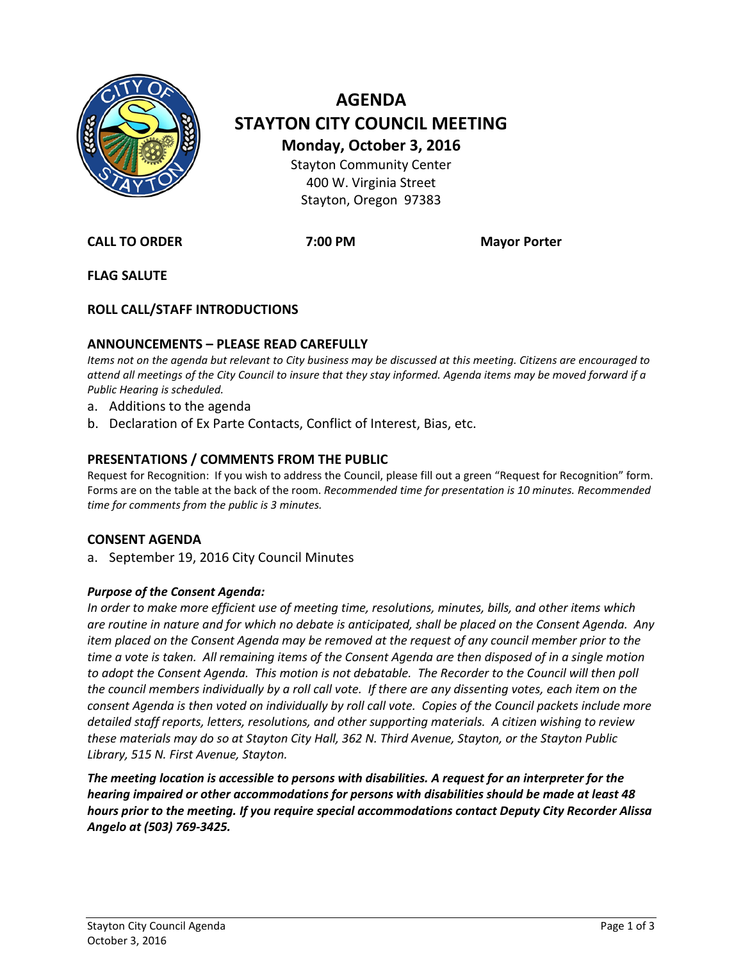

# **AGENDA STAYTON CITY COUNCIL MEETING Monday, October 3, 2016** Stayton Community Center 400 W. Virginia Street Stayton, Oregon 97383

**CALL TO ORDER 7:00 PM Mayor Porter**

**FLAG SALUTE**

## **ROLL CALL/STAFF INTRODUCTIONS**

## **ANNOUNCEMENTS – PLEASE READ CAREFULLY**

*Items not on the agenda but relevant to City business may be discussed at this meeting. Citizens are encouraged to attend all meetings of the City Council to insure that they stay informed. Agenda items may be moved forward if a Public Hearing is scheduled.*

- a. Additions to the agenda
- b. Declaration of Ex Parte Contacts, Conflict of Interest, Bias, etc.

#### **PRESENTATIONS / COMMENTS FROM THE PUBLIC**

Request for Recognition: If you wish to address the Council, please fill out a green "Request for Recognition" form. Forms are on the table at the back of the room. *Recommended time for presentation is 10 minutes. Recommended time for comments from the public is 3 minutes.*

#### **CONSENT AGENDA**

a. September 19, 2016 City Council Minutes

#### *Purpose of the Consent Agenda:*

*In order to make more efficient use of meeting time, resolutions, minutes, bills, and other items which are routine in nature and for which no debate is anticipated, shall be placed on the Consent Agenda. Any item placed on the Consent Agenda may be removed at the request of any council member prior to the time a vote is taken. All remaining items of the Consent Agenda are then disposed of in a single motion*  to adopt the Consent Agenda. This motion is not debatable. The Recorder to the Council will then poll *the council members individually by a roll call vote. If there are any dissenting votes, each item on the consent Agenda is then voted on individually by roll call vote. Copies of the Council packets include more detailed staff reports, letters, resolutions, and other supporting materials. A citizen wishing to review these materials may do so at Stayton City Hall, 362 N. Third Avenue, Stayton, or the Stayton Public Library, 515 N. First Avenue, Stayton.*

*The meeting location is accessible to persons with disabilities. A request for an interpreter for the hearing impaired or other accommodations for persons with disabilities should be made at least 48 hours prior to the meeting. If you require special accommodations contact Deputy City Recorder Alissa Angelo at (503) 769-3425.*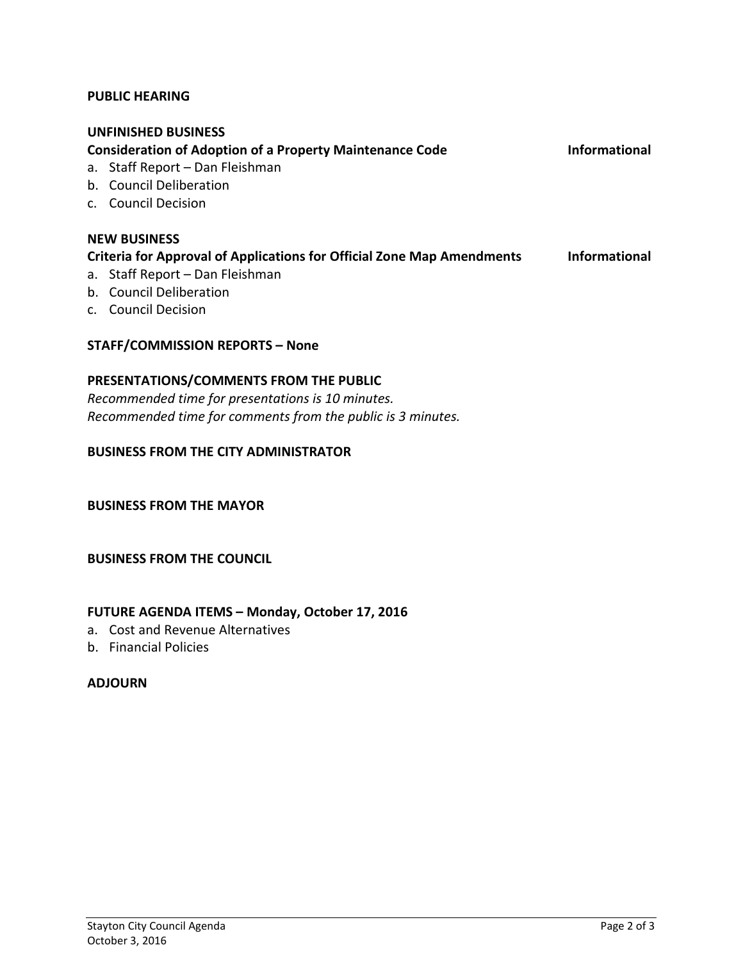#### **PUBLIC HEARING**

#### **UNFINISHED BUSINESS**

**Consideration of Adoption of a Property Maintenance Code Informational**

- a. Staff Report Dan Fleishman
- b. Council Deliberation
- c. Council Decision

#### **NEW BUSINESS Criteria for Approval of Applications for Official Zone Map Amendments Informational** a. Staff Report – Dan Fleishman

- b. Council Deliberation
- c. Council Decision

#### **STAFF/COMMISSION REPORTS – None**

#### **PRESENTATIONS/COMMENTS FROM THE PUBLIC**

*Recommended time for presentations is 10 minutes. Recommended time for comments from the public is 3 minutes.*

#### **BUSINESS FROM THE CITY ADMINISTRATOR**

**BUSINESS FROM THE MAYOR**

#### **BUSINESS FROM THE COUNCIL**

#### **FUTURE AGENDA ITEMS – Monday, October 17, 2016**

- a. Cost and Revenue Alternatives
- b. Financial Policies

#### **ADJOURN**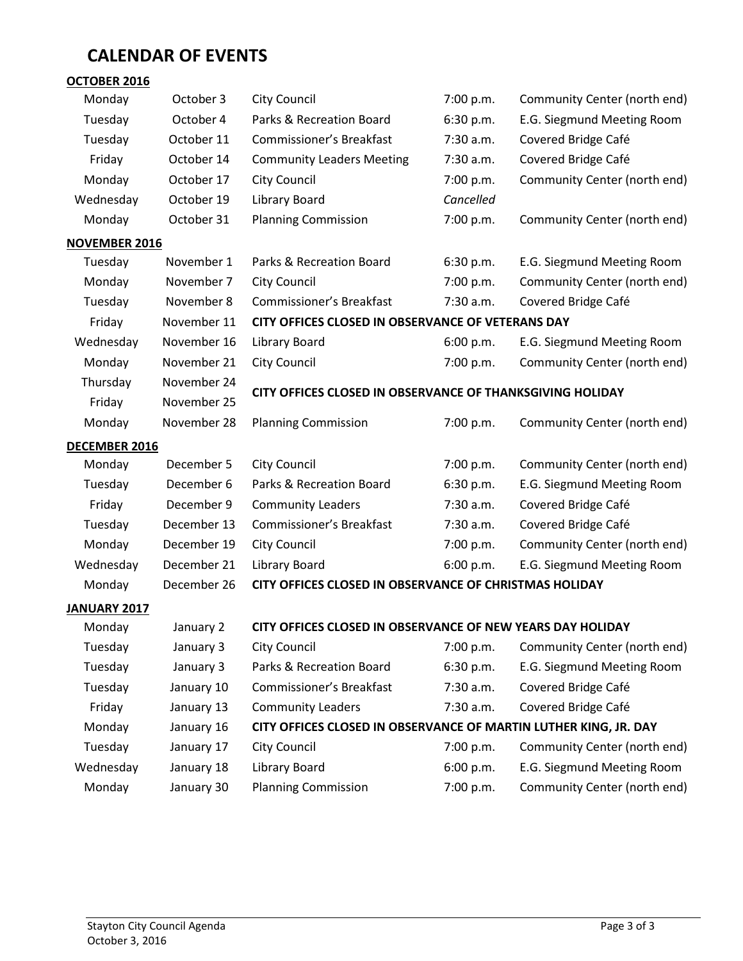# **CALENDAR OF EVENTS**

| OCTOBER 2016         |             |                                                                  |           |                              |
|----------------------|-------------|------------------------------------------------------------------|-----------|------------------------------|
| Monday               | October 3   | <b>City Council</b>                                              | 7:00 p.m. | Community Center (north end) |
| Tuesday              | October 4   | Parks & Recreation Board                                         | 6:30 p.m. | E.G. Siegmund Meeting Room   |
| Tuesday              | October 11  | <b>Commissioner's Breakfast</b>                                  | 7:30 a.m. | Covered Bridge Café          |
| Friday               | October 14  | <b>Community Leaders Meeting</b>                                 | 7:30 a.m. | Covered Bridge Café          |
| Monday               | October 17  | <b>City Council</b>                                              | 7:00 p.m. | Community Center (north end) |
| Wednesday            | October 19  | <b>Library Board</b>                                             | Cancelled |                              |
| Monday               | October 31  | <b>Planning Commission</b>                                       | 7:00 p.m. | Community Center (north end) |
| <b>NOVEMBER 2016</b> |             |                                                                  |           |                              |
| Tuesday              | November 1  | Parks & Recreation Board                                         | 6:30 p.m. | E.G. Siegmund Meeting Room   |
| Monday               | November 7  | <b>City Council</b>                                              | 7:00 p.m. | Community Center (north end) |
| Tuesday              | November 8  | <b>Commissioner's Breakfast</b>                                  | 7:30 a.m. | Covered Bridge Café          |
| Friday               | November 11 | CITY OFFICES CLOSED IN OBSERVANCE OF VETERANS DAY                |           |                              |
| Wednesday            | November 16 | Library Board                                                    | 6:00 p.m. | E.G. Siegmund Meeting Room   |
| Monday               | November 21 | City Council                                                     | 7:00 p.m. | Community Center (north end) |
| Thursday             | November 24 | CITY OFFICES CLOSED IN OBSERVANCE OF THANKSGIVING HOLIDAY        |           |                              |
| Friday               | November 25 |                                                                  |           |                              |
| Monday               | November 28 | <b>Planning Commission</b>                                       | 7:00 p.m. | Community Center (north end) |
| <b>DECEMBER 2016</b> |             |                                                                  |           |                              |
| Monday               | December 5  | <b>City Council</b>                                              | 7:00 p.m. | Community Center (north end) |
| Tuesday              | December 6  | Parks & Recreation Board                                         | 6:30 p.m. | E.G. Siegmund Meeting Room   |
| Friday               | December 9  | <b>Community Leaders</b>                                         | 7:30 a.m. | Covered Bridge Café          |
| Tuesday              | December 13 | <b>Commissioner's Breakfast</b>                                  | 7:30 a.m. | Covered Bridge Café          |
| Monday               | December 19 | <b>City Council</b>                                              | 7:00 p.m. | Community Center (north end) |
| Wednesday            | December 21 | Library Board                                                    | 6:00 p.m. | E.G. Siegmund Meeting Room   |
| Monday               | December 26 | CITY OFFICES CLOSED IN OBSERVANCE OF CHRISTMAS HOLIDAY           |           |                              |
| JANUARY 2017         |             |                                                                  |           |                              |
| Monday               | January 2   | CITY OFFICES CLOSED IN OBSERVANCE OF NEW YEARS DAY HOLIDAY       |           |                              |
| Tuesday              | January 3   | <b>City Council</b>                                              | 7:00 p.m. | Community Center (north end) |
| Tuesday              | January 3   | Parks & Recreation Board                                         | 6:30 p.m. | E.G. Siegmund Meeting Room   |
| Tuesday              | January 10  | Commissioner's Breakfast                                         | 7:30 a.m. | Covered Bridge Café          |
| Friday               | January 13  | <b>Community Leaders</b>                                         | 7:30 a.m. | Covered Bridge Café          |
| Monday               | January 16  | CITY OFFICES CLOSED IN OBSERVANCE OF MARTIN LUTHER KING, JR. DAY |           |                              |
| Tuesday              | January 17  | <b>City Council</b>                                              | 7:00 p.m. | Community Center (north end) |
| Wednesday            | January 18  | Library Board                                                    | 6:00 p.m. | E.G. Siegmund Meeting Room   |
| Monday               | January 30  | <b>Planning Commission</b>                                       | 7:00 p.m. | Community Center (north end) |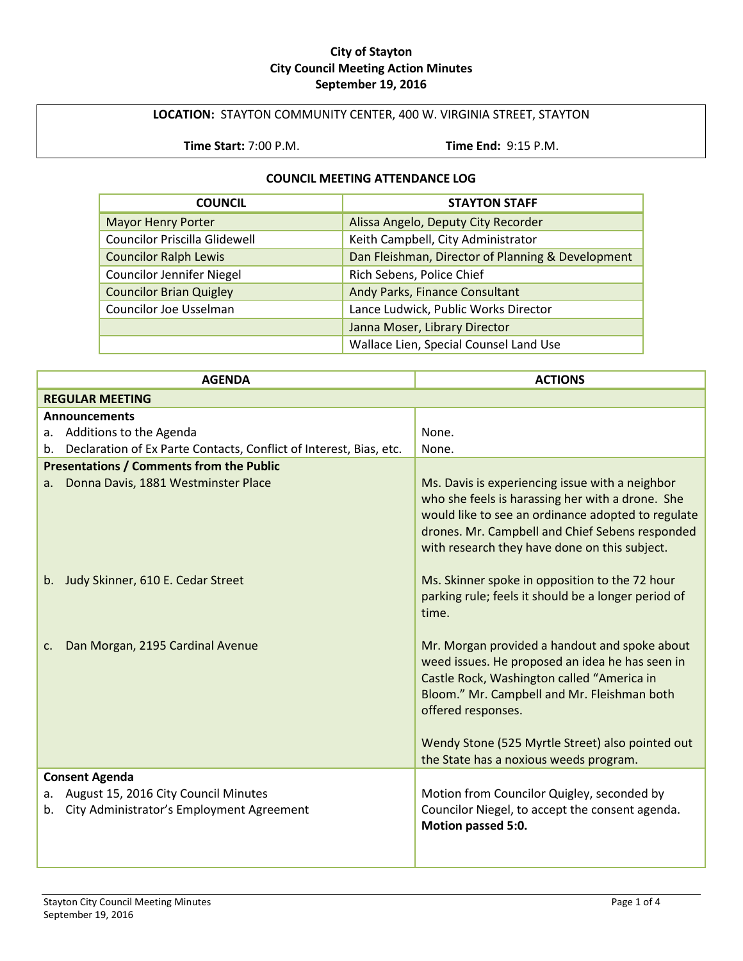#### **City of Stayton City Council Meeting Action Minutes September 19, 2016**

## **LOCATION:** STAYTON COMMUNITY CENTER, 400 W. VIRGINIA STREET, STAYTON

**Time Start:** 7:00 P.M. **Time End:** 9:15 P.M.

#### **COUNCIL MEETING ATTENDANCE LOG**

| <b>COUNCIL</b>                       | <b>STAYTON STAFF</b>                              |
|--------------------------------------|---------------------------------------------------|
| <b>Mayor Henry Porter</b>            | Alissa Angelo, Deputy City Recorder               |
| <b>Councilor Priscilla Glidewell</b> | Keith Campbell, City Administrator                |
| <b>Councilor Ralph Lewis</b>         | Dan Fleishman, Director of Planning & Development |
| <b>Councilor Jennifer Niegel</b>     | Rich Sebens, Police Chief                         |
| <b>Councilor Brian Quigley</b>       | Andy Parks, Finance Consultant                    |
| Councilor Joe Usselman               | Lance Ludwick, Public Works Director              |
|                                      | Janna Moser, Library Director                     |
|                                      | Wallace Lien, Special Counsel Land Use            |

| <b>AGENDA</b>                                                                                 | <b>ACTIONS</b>                                                                                                                                                                                                                                                          |
|-----------------------------------------------------------------------------------------------|-------------------------------------------------------------------------------------------------------------------------------------------------------------------------------------------------------------------------------------------------------------------------|
| <b>REGULAR MEETING</b>                                                                        |                                                                                                                                                                                                                                                                         |
| <b>Announcements</b>                                                                          |                                                                                                                                                                                                                                                                         |
| a. Additions to the Agenda                                                                    | None.                                                                                                                                                                                                                                                                   |
| Declaration of Ex Parte Contacts, Conflict of Interest, Bias, etc.                            | None.                                                                                                                                                                                                                                                                   |
| <b>Presentations / Comments from the Public</b>                                               |                                                                                                                                                                                                                                                                         |
| Donna Davis, 1881 Westminster Place<br>a.                                                     | Ms. Davis is experiencing issue with a neighbor<br>who she feels is harassing her with a drone. She<br>would like to see an ordinance adopted to regulate<br>drones. Mr. Campbell and Chief Sebens responded<br>with research they have done on this subject.           |
| b. Judy Skinner, 610 E. Cedar Street                                                          | Ms. Skinner spoke in opposition to the 72 hour<br>parking rule; feels it should be a longer period of<br>time.                                                                                                                                                          |
| Dan Morgan, 2195 Cardinal Avenue<br>c.                                                        | Mr. Morgan provided a handout and spoke about<br>weed issues. He proposed an idea he has seen in<br>Castle Rock, Washington called "America in<br>Bloom." Mr. Campbell and Mr. Fleishman both<br>offered responses.<br>Wendy Stone (525 Myrtle Street) also pointed out |
|                                                                                               | the State has a noxious weeds program.                                                                                                                                                                                                                                  |
| <b>Consent Agenda</b>                                                                         |                                                                                                                                                                                                                                                                         |
| August 15, 2016 City Council Minutes<br>а.<br>City Administrator's Employment Agreement<br>b. | Motion from Councilor Quigley, seconded by<br>Councilor Niegel, to accept the consent agenda.<br>Motion passed 5:0.                                                                                                                                                     |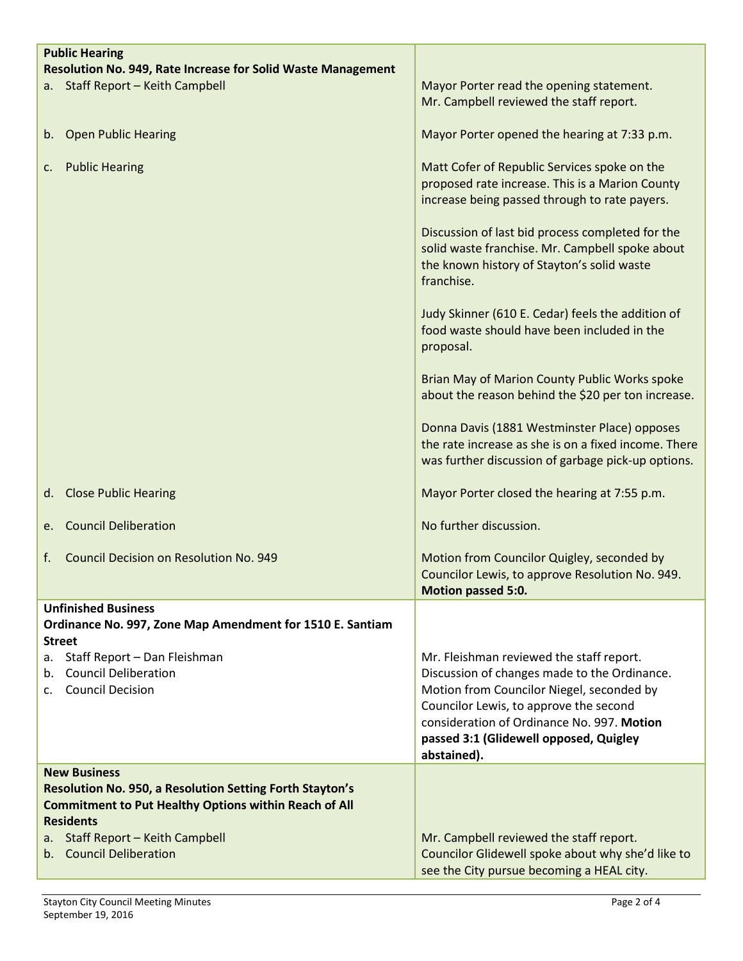| <b>Public Hearing</b>                                                                                                           |                                                                                                                                                                                                                                                                                        |
|---------------------------------------------------------------------------------------------------------------------------------|----------------------------------------------------------------------------------------------------------------------------------------------------------------------------------------------------------------------------------------------------------------------------------------|
| Resolution No. 949, Rate Increase for Solid Waste Management<br>a. Staff Report - Keith Campbell                                | Mayor Porter read the opening statement.                                                                                                                                                                                                                                               |
|                                                                                                                                 | Mr. Campbell reviewed the staff report.                                                                                                                                                                                                                                                |
| <b>Open Public Hearing</b><br>b.                                                                                                | Mayor Porter opened the hearing at 7:33 p.m.                                                                                                                                                                                                                                           |
| <b>Public Hearing</b><br>c.                                                                                                     | Matt Cofer of Republic Services spoke on the<br>proposed rate increase. This is a Marion County<br>increase being passed through to rate payers.                                                                                                                                       |
|                                                                                                                                 | Discussion of last bid process completed for the<br>solid waste franchise. Mr. Campbell spoke about<br>the known history of Stayton's solid waste<br>franchise.                                                                                                                        |
|                                                                                                                                 | Judy Skinner (610 E. Cedar) feels the addition of<br>food waste should have been included in the<br>proposal.                                                                                                                                                                          |
|                                                                                                                                 | Brian May of Marion County Public Works spoke<br>about the reason behind the \$20 per ton increase.                                                                                                                                                                                    |
|                                                                                                                                 | Donna Davis (1881 Westminster Place) opposes<br>the rate increase as she is on a fixed income. There<br>was further discussion of garbage pick-up options.                                                                                                                             |
| <b>Close Public Hearing</b><br>d.                                                                                               | Mayor Porter closed the hearing at 7:55 p.m.                                                                                                                                                                                                                                           |
| <b>Council Deliberation</b><br>e.                                                                                               | No further discussion.                                                                                                                                                                                                                                                                 |
| <b>Council Decision on Resolution No. 949</b><br>f.                                                                             | Motion from Councilor Quigley, seconded by<br>Councilor Lewis, to approve Resolution No. 949.<br><b>Motion passed 5:0.</b>                                                                                                                                                             |
| <b>Unfinished Business</b><br>Ordinance No. 997, Zone Map Amendment for 1510 E. Santiam<br><b>Street</b>                        |                                                                                                                                                                                                                                                                                        |
| Staff Report - Dan Fleishman<br>а.<br><b>Council Deliberation</b><br>b.<br><b>Council Decision</b><br>C.                        | Mr. Fleishman reviewed the staff report.<br>Discussion of changes made to the Ordinance.<br>Motion from Councilor Niegel, seconded by<br>Councilor Lewis, to approve the second<br>consideration of Ordinance No. 997. Motion<br>passed 3:1 (Glidewell opposed, Quigley<br>abstained). |
| <b>New Business</b>                                                                                                             |                                                                                                                                                                                                                                                                                        |
| <b>Resolution No. 950, a Resolution Setting Forth Stayton's</b><br><b>Commitment to Put Healthy Options within Reach of All</b> |                                                                                                                                                                                                                                                                                        |
| <b>Residents</b>                                                                                                                |                                                                                                                                                                                                                                                                                        |
| Staff Report - Keith Campbell<br>а.<br>b. Council Deliberation                                                                  | Mr. Campbell reviewed the staff report.<br>Councilor Glidewell spoke about why she'd like to                                                                                                                                                                                           |
|                                                                                                                                 | see the City pursue becoming a HEAL city.                                                                                                                                                                                                                                              |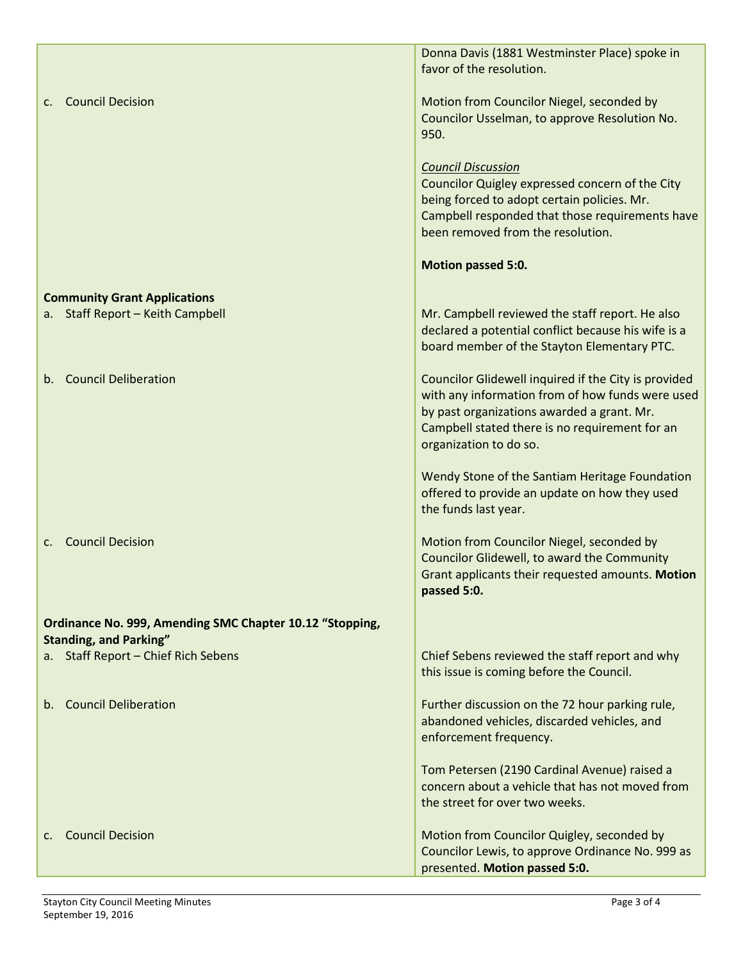|                                                                      | Donna Davis (1881 Westminster Place) spoke in                                                                                                                                                                                      |
|----------------------------------------------------------------------|------------------------------------------------------------------------------------------------------------------------------------------------------------------------------------------------------------------------------------|
|                                                                      | favor of the resolution.                                                                                                                                                                                                           |
| <b>Council Decision</b><br>$\mathsf{C}$ .                            | Motion from Councilor Niegel, seconded by<br>Councilor Usselman, to approve Resolution No.<br>950.                                                                                                                                 |
|                                                                      | <b>Council Discussion</b><br>Councilor Quigley expressed concern of the City<br>being forced to adopt certain policies. Mr.<br>Campbell responded that those requirements have<br>been removed from the resolution.                |
|                                                                      | Motion passed 5:0.                                                                                                                                                                                                                 |
| <b>Community Grant Applications</b>                                  |                                                                                                                                                                                                                                    |
| a. Staff Report - Keith Campbell                                     | Mr. Campbell reviewed the staff report. He also<br>declared a potential conflict because his wife is a<br>board member of the Stayton Elementary PTC.                                                                              |
| <b>Council Deliberation</b><br>b.                                    | Councilor Glidewell inquired if the City is provided<br>with any information from of how funds were used<br>by past organizations awarded a grant. Mr.<br>Campbell stated there is no requirement for an<br>organization to do so. |
|                                                                      | Wendy Stone of the Santiam Heritage Foundation<br>offered to provide an update on how they used<br>the funds last year.                                                                                                            |
| <b>Council Decision</b><br>$\mathsf{C}$ .                            | Motion from Councilor Niegel, seconded by<br>Councilor Glidewell, to award the Community<br>Grant applicants their requested amounts. Motion<br>passed 5:0.                                                                        |
| Ordinance No. 999, Amending SMC Chapter 10.12 "Stopping,             |                                                                                                                                                                                                                                    |
| <b>Standing, and Parking"</b><br>a. Staff Report - Chief Rich Sebens | Chief Sebens reviewed the staff report and why<br>this issue is coming before the Council.                                                                                                                                         |
|                                                                      |                                                                                                                                                                                                                                    |
| <b>Council Deliberation</b><br>b.                                    | Further discussion on the 72 hour parking rule,<br>abandoned vehicles, discarded vehicles, and<br>enforcement frequency.                                                                                                           |
|                                                                      | Tom Petersen (2190 Cardinal Avenue) raised a<br>concern about a vehicle that has not moved from<br>the street for over two weeks.                                                                                                  |
| <b>Council Decision</b><br>$\mathsf{C}$ .                            | Motion from Councilor Quigley, seconded by<br>Councilor Lewis, to approve Ordinance No. 999 as<br>presented. Motion passed 5:0.                                                                                                    |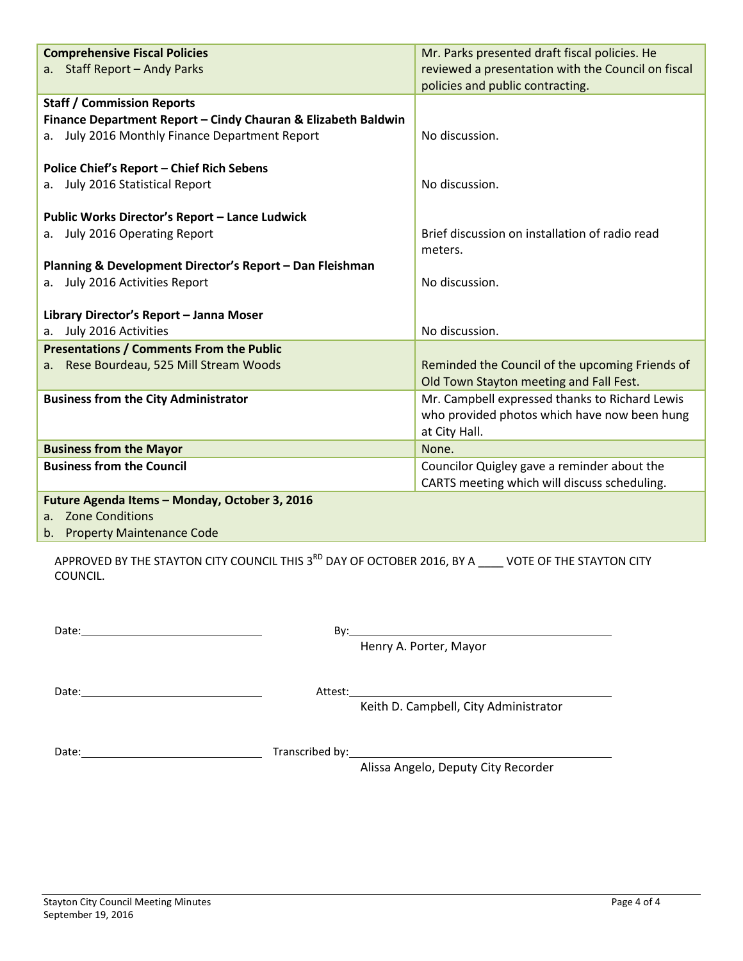| <b>Comprehensive Fiscal Policies</b>                          | Mr. Parks presented draft fiscal policies. He      |
|---------------------------------------------------------------|----------------------------------------------------|
| a. Staff Report - Andy Parks                                  | reviewed a presentation with the Council on fiscal |
|                                                               | policies and public contracting.                   |
| <b>Staff / Commission Reports</b>                             |                                                    |
| Finance Department Report - Cindy Chauran & Elizabeth Baldwin |                                                    |
| a. July 2016 Monthly Finance Department Report                | No discussion.                                     |
|                                                               |                                                    |
| <b>Police Chief's Report - Chief Rich Sebens</b>              |                                                    |
| July 2016 Statistical Report<br>a.                            | No discussion.                                     |
|                                                               |                                                    |
| <b>Public Works Director's Report - Lance Ludwick</b>         |                                                    |
| a. July 2016 Operating Report                                 | Brief discussion on installation of radio read     |
|                                                               | meters.                                            |
| Planning & Development Director's Report - Dan Fleishman      |                                                    |
| a. July 2016 Activities Report                                | No discussion.                                     |
|                                                               |                                                    |
| Library Director's Report - Janna Moser                       |                                                    |
| July 2016 Activities<br>a.                                    | No discussion.                                     |
| <b>Presentations / Comments From the Public</b>               |                                                    |
| a. Rese Bourdeau, 525 Mill Stream Woods                       | Reminded the Council of the upcoming Friends of    |
|                                                               | Old Town Stayton meeting and Fall Fest.            |
| <b>Business from the City Administrator</b>                   | Mr. Campbell expressed thanks to Richard Lewis     |
|                                                               | who provided photos which have now been hung       |
|                                                               | at City Hall.                                      |
| <b>Business from the Mayor</b>                                | None.                                              |
| <b>Business from the Council</b>                              | Councilor Quigley gave a reminder about the        |
|                                                               | CARTS meeting which will discuss scheduling.       |
| Future Agenda Items - Monday, October 3, 2016                 |                                                    |
| a. Zone Conditions                                            |                                                    |

b. Property Maintenance Code

APPROVED BY THE STAYTON CITY COUNCIL THIS 3<sup>RD</sup> DAY OF OCTOBER 2016, BY A \_\_\_\_ VOTE OF THE STAYTON CITY COUNCIL.

| Date:                                                 | By:     |                                        |
|-------------------------------------------------------|---------|----------------------------------------|
|                                                       |         | Henry A. Porter, Mayor                 |
|                                                       |         |                                        |
| Date:<br><u> 1980 - Jan Barat, martin amerikan ba</u> | Attest: |                                        |
|                                                       |         | Keith D. Campbell, City Administrator  |
|                                                       |         |                                        |
| Date:                                                 |         | <b>Transcribed by:</b> Transcribed by: |
|                                                       |         | Alissa Angelo, Deputy City Recorder    |
|                                                       |         |                                        |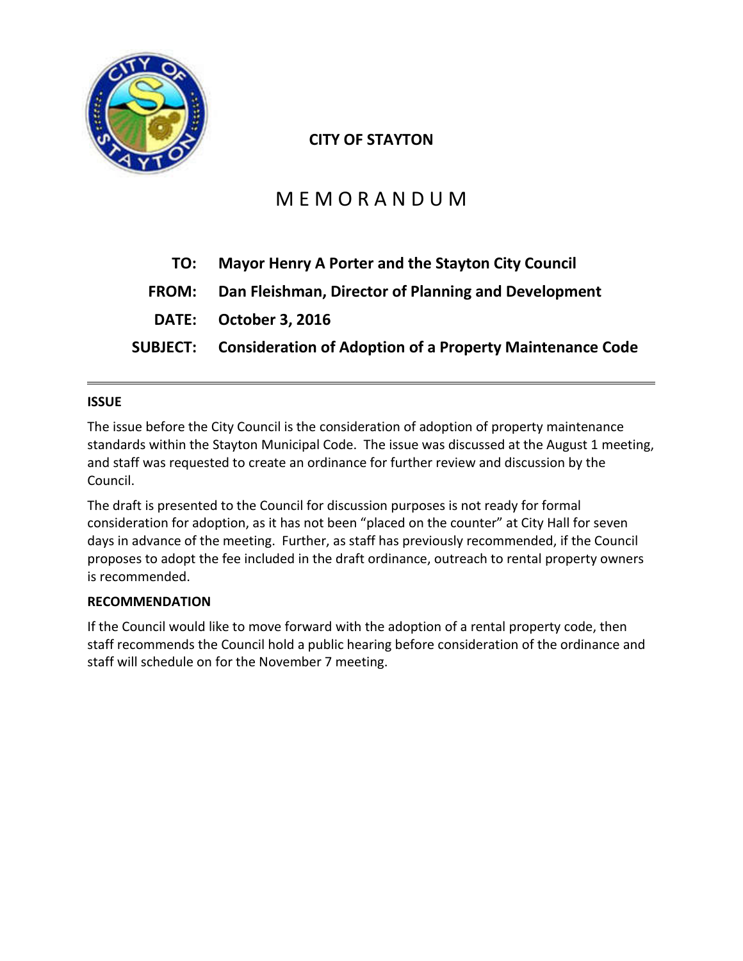

# **CITY OF STAYTON**

# M E M O R A N D U M

| TO:          | <b>Mayor Henry A Porter and the Stayton City Council</b>          |
|--------------|-------------------------------------------------------------------|
| <b>FROM:</b> | Dan Fleishman, Director of Planning and Development               |
|              | DATE: October 3, 2016                                             |
|              | SUBJECT: Consideration of Adoption of a Property Maintenance Code |

# **ISSUE**

The issue before the City Council is the consideration of adoption of property maintenance standards within the Stayton Municipal Code. The issue was discussed at the August 1 meeting, and staff was requested to create an ordinance for further review and discussion by the Council.

The draft is presented to the Council for discussion purposes is not ready for formal consideration for adoption, as it has not been "placed on the counter" at City Hall for seven days in advance of the meeting. Further, as staff has previously recommended, if the Council proposes to adopt the fee included in the draft ordinance, outreach to rental property owners is recommended.

# **RECOMMENDATION**

If the Council would like to move forward with the adoption of a rental property code, then staff recommends the Council hold a public hearing before consideration of the ordinance and staff will schedule on for the November 7 meeting.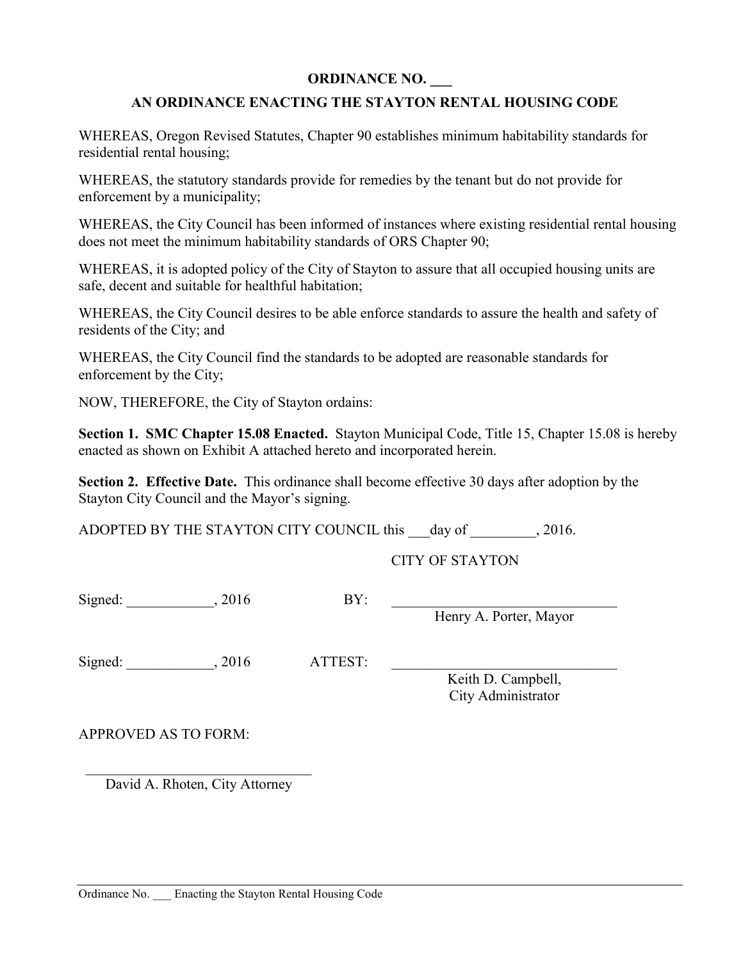# **ORDINANCE NO. \_\_\_**

# **AN ORDINANCE ENACTING THE STAYTON RENTAL HOUSING CODE**

WHEREAS, Oregon Revised Statutes, Chapter 90 establishes minimum habitability standards for residential rental housing;

WHEREAS, the statutory standards provide for remedies by the tenant but do not provide for enforcement by a municipality;

WHEREAS, the City Council has been informed of instances where existing residential rental housing does not meet the minimum habitability standards of ORS Chapter 90;

WHEREAS, it is adopted policy of the City of Stayton to assure that all occupied housing units are safe, decent and suitable for healthful habitation;

WHEREAS, the City Council desires to be able enforce standards to assure the health and safety of residents of the City; and

WHEREAS, the City Council find the standards to be adopted are reasonable standards for enforcement by the City;

NOW, THEREFORE, the City of Stayton ordains:

**Section 1. SMC Chapter 15.08 Enacted.** Stayton Municipal Code, Title 15, Chapter 15.08 is hereby enacted as shown on Exhibit A attached hereto and incorporated herein.

**Section 2. Effective Date.** This ordinance shall become effective 30 days after adoption by the Stayton City Council and the Mayor's signing.

ADOPTED BY THE STAYTON CITY COUNCIL this day of 2016.

CITY OF STAYTON

Signed: \_\_\_\_\_\_\_\_\_\_\_\_\_, 2016 BY:

Henry A. Porter, Mayor

Signed: \_\_\_\_\_\_\_\_\_\_\_\_, 2016 ATTEST:

Keith D. Campbell, City Administrator

APPROVED AS TO FORM:

\_\_\_\_\_\_\_\_\_\_\_\_\_\_\_\_\_\_\_\_\_\_\_\_\_\_\_\_\_\_\_ David A. Rhoten, City Attorney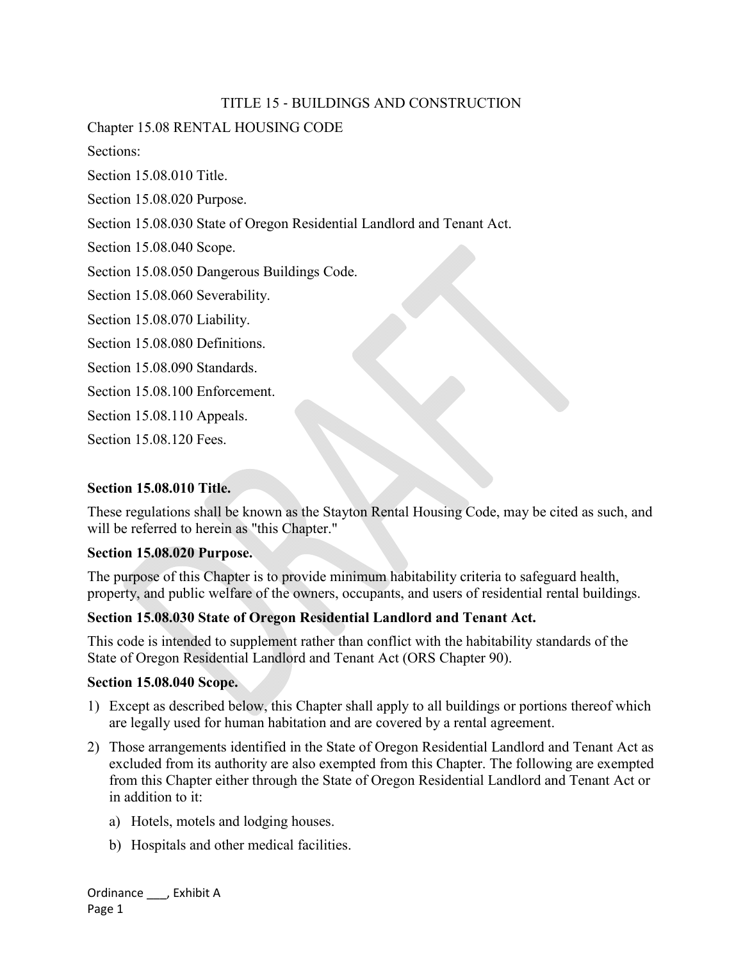# TITLE 15 ‐ BUILDINGS AND CONSTRUCTION

Chapter 15.08 RENTAL HOUSING CODE

Sections:

Section 15.08.010 Title.

Section 15.08.020 Purpose.

Section 15.08.030 State of Oregon Residential Landlord and Tenant Act.

Section 15.08.040 Scope.

Section 15.08.050 Dangerous Buildings Code.

Section 15.08.060 Severability.

Section 15.08.070 Liability.

Section 15.08.080 Definitions.

Section 15.08.090 Standards.

Section 15.08.100 Enforcement.

Section 15.08.110 Appeals.

Section 15.08.120 Fees.

# **Section 15.08.010 Title.**

These regulations shall be known as the Stayton Rental Housing Code, may be cited as such, and will be referred to herein as "this Chapter."

#### **Section 15.08.020 Purpose.**

The purpose of this Chapter is to provide minimum habitability criteria to safeguard health, property, and public welfare of the owners, occupants, and users of residential rental buildings.

# **Section 15.08.030 State of Oregon Residential Landlord and Tenant Act.**

This code is intended to supplement rather than conflict with the habitability standards of the State of Oregon Residential Landlord and Tenant Act (ORS Chapter 90).

#### **Section 15.08.040 Scope.**

- 1) Except as described below, this Chapter shall apply to all buildings or portions thereof which are legally used for human habitation and are covered by a rental agreement.
- 2) Those arrangements identified in the State of Oregon Residential Landlord and Tenant Act as excluded from its authority are also exempted from this Chapter. The following are exempted from this Chapter either through the State of Oregon Residential Landlord and Tenant Act or in addition to it:
	- a) Hotels, motels and lodging houses.
	- b) Hospitals and other medical facilities.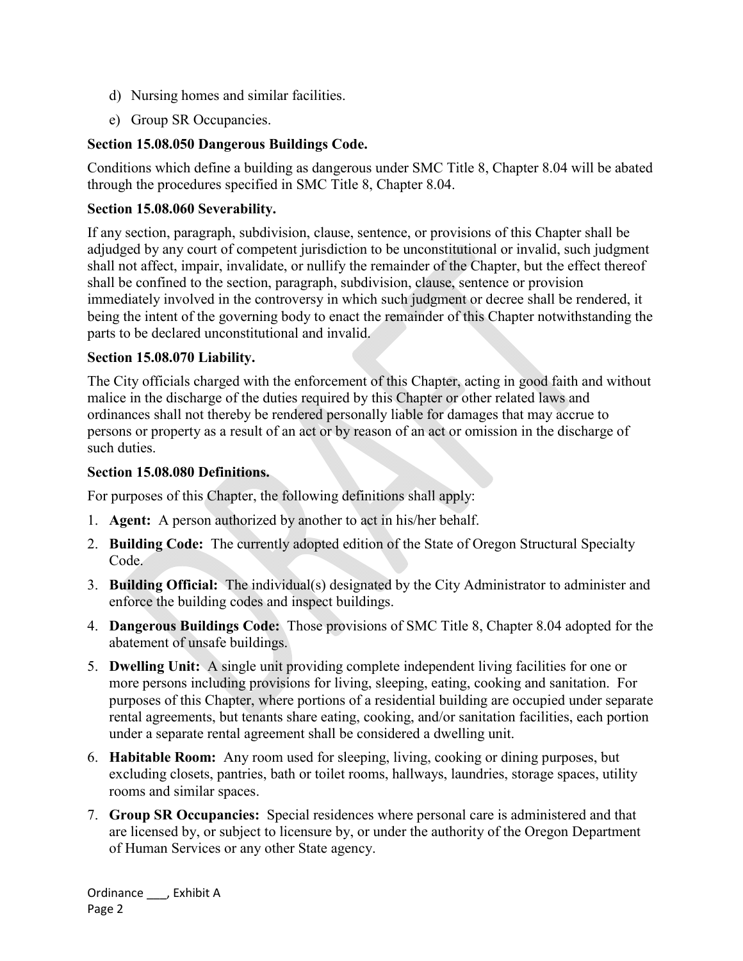- d) Nursing homes and similar facilities.
- e) Group SR Occupancies.

# **Section 15.08.050 Dangerous Buildings Code.**

Conditions which define a building as dangerous under SMC Title 8, Chapter 8.04 will be abated through the procedures specified in SMC Title 8, Chapter 8.04.

# **Section 15.08.060 Severability.**

If any section, paragraph, subdivision, clause, sentence, or provisions of this Chapter shall be adjudged by any court of competent jurisdiction to be unconstitutional or invalid, such judgment shall not affect, impair, invalidate, or nullify the remainder of the Chapter, but the effect thereof shall be confined to the section, paragraph, subdivision, clause, sentence or provision immediately involved in the controversy in which such judgment or decree shall be rendered, it being the intent of the governing body to enact the remainder of this Chapter notwithstanding the parts to be declared unconstitutional and invalid.

# **Section 15.08.070 Liability.**

The City officials charged with the enforcement of this Chapter, acting in good faith and without malice in the discharge of the duties required by this Chapter or other related laws and ordinances shall not thereby be rendered personally liable for damages that may accrue to persons or property as a result of an act or by reason of an act or omission in the discharge of such duties.

# **Section 15.08.080 Definitions.**

For purposes of this Chapter, the following definitions shall apply:

- 1. **Agent:** A person authorized by another to act in his/her behalf.
- 2. **Building Code:** The currently adopted edition of the State of Oregon Structural Specialty Code.
- 3. **Building Official:** The individual(s) designated by the City Administrator to administer and enforce the building codes and inspect buildings.
- 4. **Dangerous Buildings Code:** Those provisions of SMC Title 8, Chapter 8.04 adopted for the abatement of unsafe buildings.
- 5. **Dwelling Unit:** A single unit providing complete independent living facilities for one or more persons including provisions for living, sleeping, eating, cooking and sanitation. For purposes of this Chapter, where portions of a residential building are occupied under separate rental agreements, but tenants share eating, cooking, and/or sanitation facilities, each portion under a separate rental agreement shall be considered a dwelling unit.
- 6. **Habitable Room:** Any room used for sleeping, living, cooking or dining purposes, but excluding closets, pantries, bath or toilet rooms, hallways, laundries, storage spaces, utility rooms and similar spaces.
- 7. **Group SR Occupancies:** Special residences where personal care is administered and that are licensed by, or subject to licensure by, or under the authority of the Oregon Department of Human Services or any other State agency.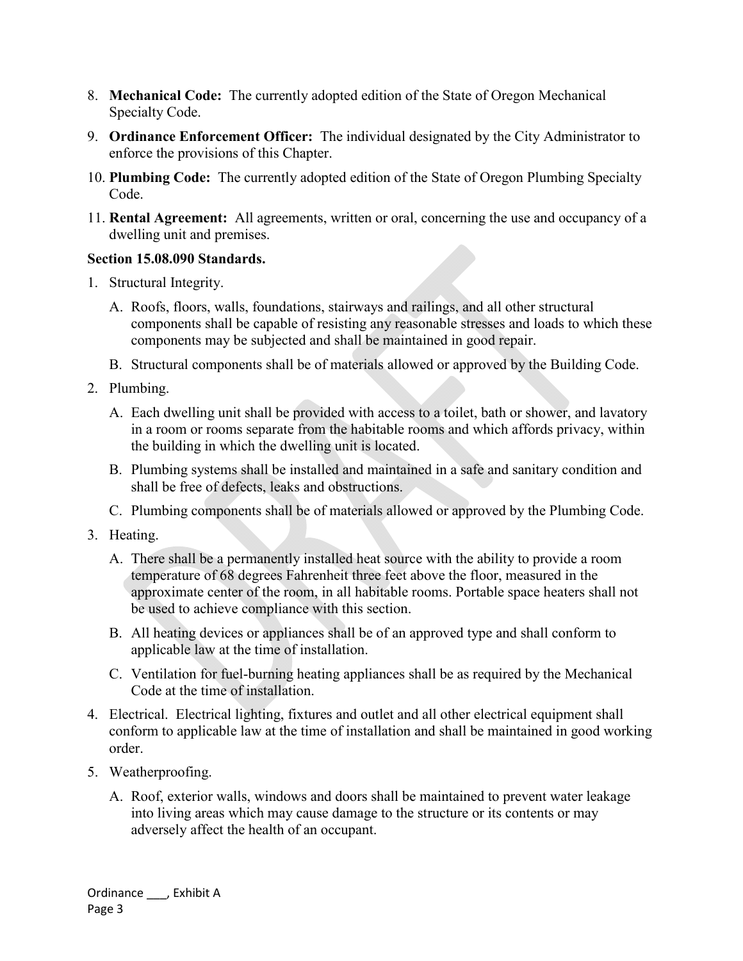- 8. **Mechanical Code:** The currently adopted edition of the State of Oregon Mechanical Specialty Code.
- 9. **Ordinance Enforcement Officer:** The individual designated by the City Administrator to enforce the provisions of this Chapter.
- 10. **Plumbing Code:** The currently adopted edition of the State of Oregon Plumbing Specialty Code.
- 11. **Rental Agreement:** All agreements, written or oral, concerning the use and occupancy of a dwelling unit and premises.

# **Section 15.08.090 Standards.**

- 1. Structural Integrity.
	- A. Roofs, floors, walls, foundations, stairways and railings, and all other structural components shall be capable of resisting any reasonable stresses and loads to which these components may be subjected and shall be maintained in good repair.
	- B. Structural components shall be of materials allowed or approved by the Building Code.
- 2. Plumbing.
	- A. Each dwelling unit shall be provided with access to a toilet, bath or shower, and lavatory in a room or rooms separate from the habitable rooms and which affords privacy, within the building in which the dwelling unit is located.
	- B. Plumbing systems shall be installed and maintained in a safe and sanitary condition and shall be free of defects, leaks and obstructions.
	- C. Plumbing components shall be of materials allowed or approved by the Plumbing Code.
- 3. Heating.
	- A. There shall be a permanently installed heat source with the ability to provide a room temperature of 68 degrees Fahrenheit three feet above the floor, measured in the approximate center of the room, in all habitable rooms. Portable space heaters shall not be used to achieve compliance with this section.
	- B. All heating devices or appliances shall be of an approved type and shall conform to applicable law at the time of installation.
	- C. Ventilation for fuel-burning heating appliances shall be as required by the Mechanical Code at the time of installation.
- 4. Electrical. Electrical lighting, fixtures and outlet and all other electrical equipment shall conform to applicable law at the time of installation and shall be maintained in good working order.
- 5. Weatherproofing.
	- A. Roof, exterior walls, windows and doors shall be maintained to prevent water leakage into living areas which may cause damage to the structure or its contents or may adversely affect the health of an occupant.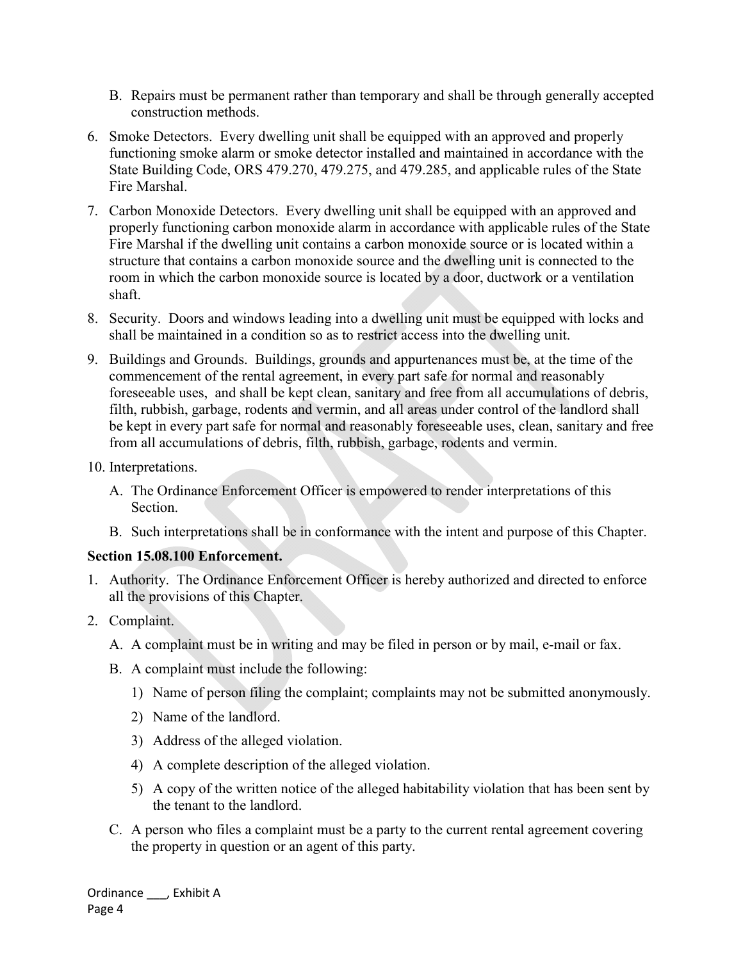- B. Repairs must be permanent rather than temporary and shall be through generally accepted construction methods.
- 6. Smoke Detectors. Every dwelling unit shall be equipped with an approved and properly functioning smoke alarm or smoke detector installed and maintained in accordance with the State Building Code, ORS 479.270, 479.275, and 479.285, and applicable rules of the State Fire Marshal.
- 7. Carbon Monoxide Detectors. Every dwelling unit shall be equipped with an approved and properly functioning carbon monoxide alarm in accordance with applicable rules of the State Fire Marshal if the dwelling unit contains a carbon monoxide source or is located within a structure that contains a carbon monoxide source and the dwelling unit is connected to the room in which the carbon monoxide source is located by a door, ductwork or a ventilation shaft.
- 8. Security. Doors and windows leading into a dwelling unit must be equipped with locks and shall be maintained in a condition so as to restrict access into the dwelling unit.
- 9. Buildings and Grounds. Buildings, grounds and appurtenances must be, at the time of the commencement of the rental agreement, in every part safe for normal and reasonably foreseeable uses, and shall be kept clean, sanitary and free from all accumulations of debris, filth, rubbish, garbage, rodents and vermin, and all areas under control of the landlord shall be kept in every part safe for normal and reasonably foreseeable uses, clean, sanitary and free from all accumulations of debris, filth, rubbish, garbage, rodents and vermin.
- 10. Interpretations.
	- A. The Ordinance Enforcement Officer is empowered to render interpretations of this Section.
	- B. Such interpretations shall be in conformance with the intent and purpose of this Chapter.

# **Section 15.08.100 Enforcement.**

- 1. Authority. The Ordinance Enforcement Officer is hereby authorized and directed to enforce all the provisions of this Chapter.
- 2. Complaint.
	- A. A complaint must be in writing and may be filed in person or by mail, e-mail or fax.
	- B. A complaint must include the following:
		- 1) Name of person filing the complaint; complaints may not be submitted anonymously.
		- 2) Name of the landlord.
		- 3) Address of the alleged violation.
		- 4) A complete description of the alleged violation.
		- 5) A copy of the written notice of the alleged habitability violation that has been sent by the tenant to the landlord.
	- C. A person who files a complaint must be a party to the current rental agreement covering the property in question or an agent of this party.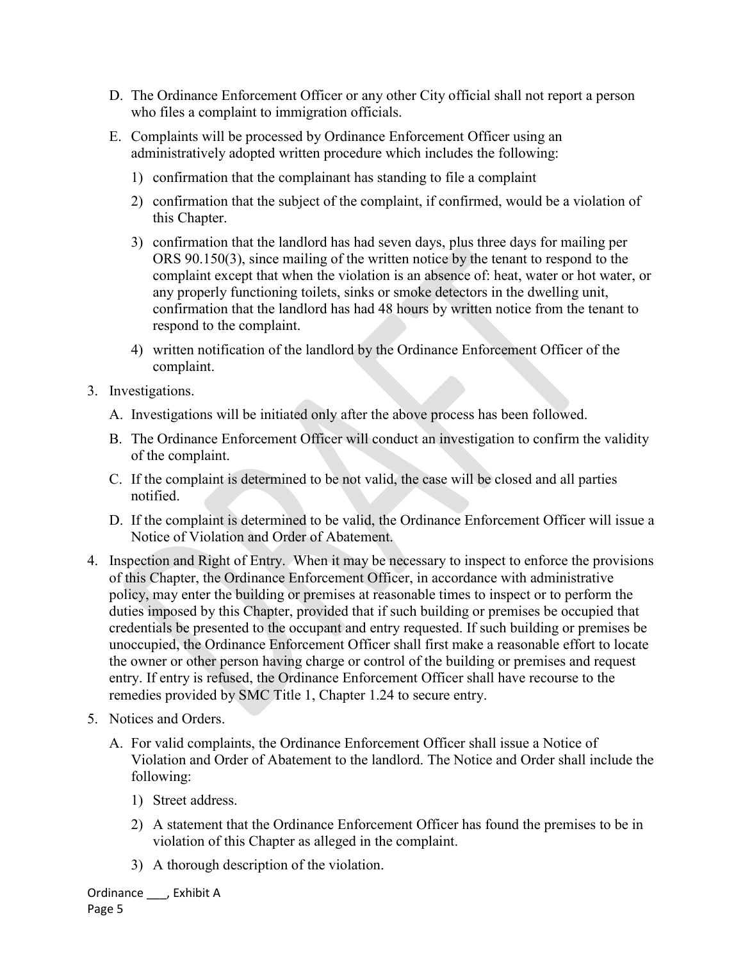- D. The Ordinance Enforcement Officer or any other City official shall not report a person who files a complaint to immigration officials.
- E. Complaints will be processed by Ordinance Enforcement Officer using an administratively adopted written procedure which includes the following:
	- 1) confirmation that the complainant has standing to file a complaint
	- 2) confirmation that the subject of the complaint, if confirmed, would be a violation of this Chapter.
	- 3) confirmation that the landlord has had seven days, plus three days for mailing per ORS 90.150(3), since mailing of the written notice by the tenant to respond to the complaint except that when the violation is an absence of: heat, water or hot water, or any properly functioning toilets, sinks or smoke detectors in the dwelling unit, confirmation that the landlord has had 48 hours by written notice from the tenant to respond to the complaint.
	- 4) written notification of the landlord by the Ordinance Enforcement Officer of the complaint.
- 3. Investigations.
	- A. Investigations will be initiated only after the above process has been followed.
	- B. The Ordinance Enforcement Officer will conduct an investigation to confirm the validity of the complaint.
	- C. If the complaint is determined to be not valid, the case will be closed and all parties notified.
	- D. If the complaint is determined to be valid, the Ordinance Enforcement Officer will issue a Notice of Violation and Order of Abatement.
- 4. Inspection and Right of Entry. When it may be necessary to inspect to enforce the provisions of this Chapter, the Ordinance Enforcement Officer, in accordance with administrative policy, may enter the building or premises at reasonable times to inspect or to perform the duties imposed by this Chapter, provided that if such building or premises be occupied that credentials be presented to the occupant and entry requested. If such building or premises be unoccupied, the Ordinance Enforcement Officer shall first make a reasonable effort to locate the owner or other person having charge or control of the building or premises and request entry. If entry is refused, the Ordinance Enforcement Officer shall have recourse to the remedies provided by SMC Title 1, Chapter 1.24 to secure entry.
- 5. Notices and Orders.
	- A. For valid complaints, the Ordinance Enforcement Officer shall issue a Notice of Violation and Order of Abatement to the landlord. The Notice and Order shall include the following:
		- 1) Street address.
		- 2) A statement that the Ordinance Enforcement Officer has found the premises to be in violation of this Chapter as alleged in the complaint.
		- 3) A thorough description of the violation.

Ordinance \_\_\_, Exhibit A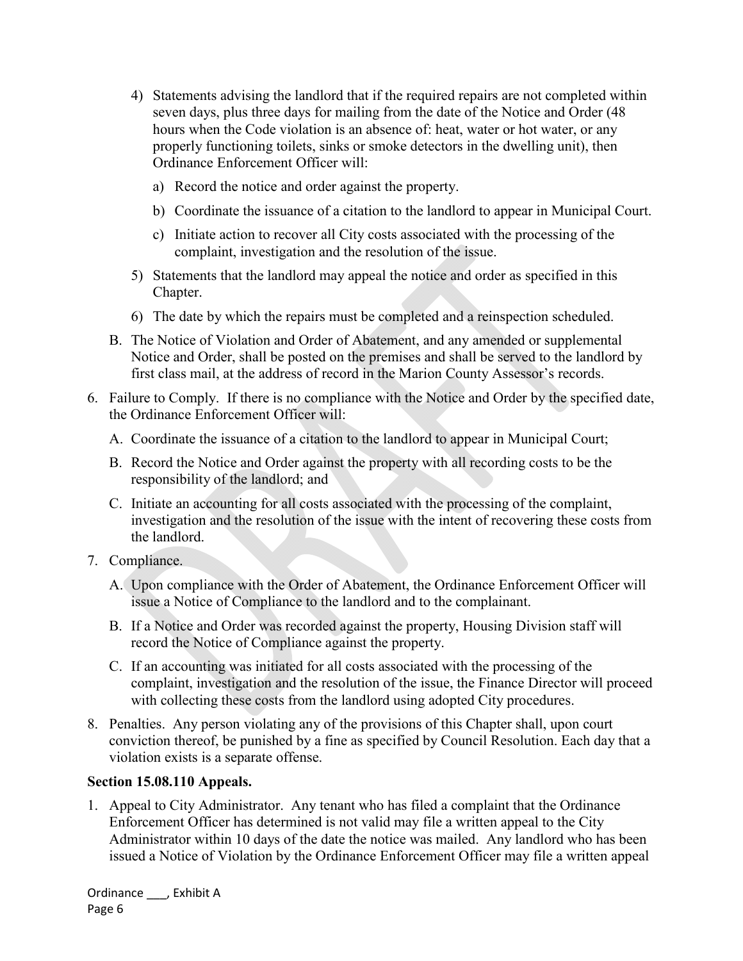- 4) Statements advising the landlord that if the required repairs are not completed within seven days, plus three days for mailing from the date of the Notice and Order (48 hours when the Code violation is an absence of: heat, water or hot water, or any properly functioning toilets, sinks or smoke detectors in the dwelling unit), then Ordinance Enforcement Officer will:
	- a) Record the notice and order against the property.
	- b) Coordinate the issuance of a citation to the landlord to appear in Municipal Court.
	- c) Initiate action to recover all City costs associated with the processing of the complaint, investigation and the resolution of the issue.
- 5) Statements that the landlord may appeal the notice and order as specified in this Chapter.
- 6) The date by which the repairs must be completed and a reinspection scheduled.
- B. The Notice of Violation and Order of Abatement, and any amended or supplemental Notice and Order, shall be posted on the premises and shall be served to the landlord by first class mail, at the address of record in the Marion County Assessor's records.
- 6. Failure to Comply. If there is no compliance with the Notice and Order by the specified date, the Ordinance Enforcement Officer will:
	- A. Coordinate the issuance of a citation to the landlord to appear in Municipal Court;
	- B. Record the Notice and Order against the property with all recording costs to be the responsibility of the landlord; and
	- C. Initiate an accounting for all costs associated with the processing of the complaint, investigation and the resolution of the issue with the intent of recovering these costs from the landlord.
- 7. Compliance.
	- A. Upon compliance with the Order of Abatement, the Ordinance Enforcement Officer will issue a Notice of Compliance to the landlord and to the complainant.
	- B. If a Notice and Order was recorded against the property, Housing Division staff will record the Notice of Compliance against the property.
	- C. If an accounting was initiated for all costs associated with the processing of the complaint, investigation and the resolution of the issue, the Finance Director will proceed with collecting these costs from the landlord using adopted City procedures.
- 8. Penalties. Any person violating any of the provisions of this Chapter shall, upon court conviction thereof, be punished by a fine as specified by Council Resolution. Each day that a violation exists is a separate offense.

# **Section 15.08.110 Appeals.**

1. Appeal to City Administrator. Any tenant who has filed a complaint that the Ordinance Enforcement Officer has determined is not valid may file a written appeal to the City Administrator within 10 days of the date the notice was mailed. Any landlord who has been issued a Notice of Violation by the Ordinance Enforcement Officer may file a written appeal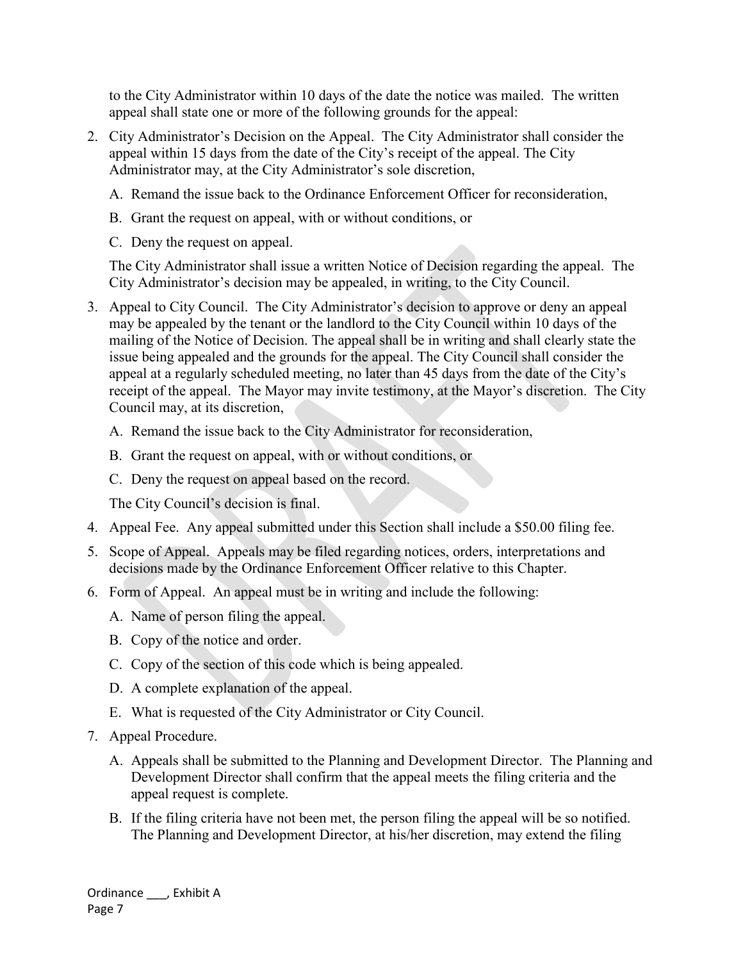to the City Administrator within 10 days of the date the notice was mailed. The written appeal shall state one or more of the following grounds for the appeal:

- 2. City Administrator's Decision on the Appeal. The City Administrator shall consider the appeal within 15 days from the date of the City's receipt of the appeal. The City Administrator may, at the City Administrator's sole discretion,
	- A. Remand the issue back to the Ordinance Enforcement Officer for reconsideration,
	- B. Grant the request on appeal, with or without conditions, or
	- C. Deny the request on appeal.

The City Administrator shall issue a written Notice of Decision regarding the appeal. The City Administrator's decision may be appealed, in writing, to the City Council.

- 3. Appeal to City Council. The City Administrator's decision to approve or deny an appeal may be appealed by the tenant or the landlord to the City Council within 10 days of the mailing of the Notice of Decision. The appeal shall be in writing and shall clearly state the issue being appealed and the grounds for the appeal. The City Council shall consider the appeal at a regularly scheduled meeting, no later than 45 days from the date of the City's receipt of the appeal. The Mayor may invite testimony, at the Mayor's discretion. The City Council may, at its discretion,
	- A. Remand the issue back to the City Administrator for reconsideration,
	- B. Grant the request on appeal, with or without conditions, or
	- C. Deny the request on appeal based on the record.

The City Council's decision is final.

- 4. Appeal Fee. Any appeal submitted under this Section shall include a \$50.00 filing fee.
- 5. Scope of Appeal. Appeals may be filed regarding notices, orders, interpretations and decisions made by the Ordinance Enforcement Officer relative to this Chapter.
- 6. Form of Appeal. An appeal must be in writing and include the following:
	- A. Name of person filing the appeal.
	- B. Copy of the notice and order.
	- C. Copy of the section of this code which is being appealed.
	- D. A complete explanation of the appeal.
	- E. What is requested of the City Administrator or City Council.
- 7. Appeal Procedure.
	- A. Appeals shall be submitted to the Planning and Development Director. The Planning and Development Director shall confirm that the appeal meets the filing criteria and the appeal request is complete.
	- B. If the filing criteria have not been met, the person filing the appeal will be so notified. The Planning and Development Director, at his/her discretion, may extend the filing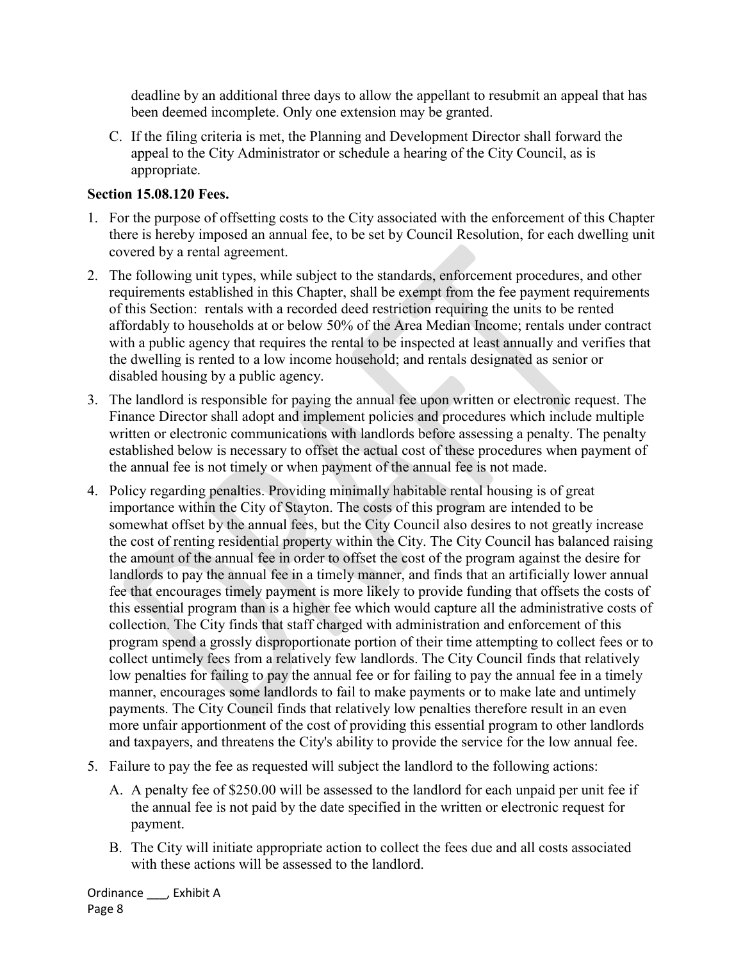deadline by an additional three days to allow the appellant to resubmit an appeal that has been deemed incomplete. Only one extension may be granted.

C. If the filing criteria is met, the Planning and Development Director shall forward the appeal to the City Administrator or schedule a hearing of the City Council, as is appropriate.

# **Section 15.08.120 Fees.**

- 1. For the purpose of offsetting costs to the City associated with the enforcement of this Chapter there is hereby imposed an annual fee, to be set by Council Resolution, for each dwelling unit covered by a rental agreement.
- 2. The following unit types, while subject to the standards, enforcement procedures, and other requirements established in this Chapter, shall be exempt from the fee payment requirements of this Section: rentals with a recorded deed restriction requiring the units to be rented affordably to households at or below 50% of the Area Median Income; rentals under contract with a public agency that requires the rental to be inspected at least annually and verifies that the dwelling is rented to a low income household; and rentals designated as senior or disabled housing by a public agency.
- 3. The landlord is responsible for paying the annual fee upon written or electronic request. The Finance Director shall adopt and implement policies and procedures which include multiple written or electronic communications with landlords before assessing a penalty. The penalty established below is necessary to offset the actual cost of these procedures when payment of the annual fee is not timely or when payment of the annual fee is not made.
- 4. Policy regarding penalties. Providing minimally habitable rental housing is of great importance within the City of Stayton. The costs of this program are intended to be somewhat offset by the annual fees, but the City Council also desires to not greatly increase the cost of renting residential property within the City. The City Council has balanced raising the amount of the annual fee in order to offset the cost of the program against the desire for landlords to pay the annual fee in a timely manner, and finds that an artificially lower annual fee that encourages timely payment is more likely to provide funding that offsets the costs of this essential program than is a higher fee which would capture all the administrative costs of collection. The City finds that staff charged with administration and enforcement of this program spend a grossly disproportionate portion of their time attempting to collect fees or to collect untimely fees from a relatively few landlords. The City Council finds that relatively low penalties for failing to pay the annual fee or for failing to pay the annual fee in a timely manner, encourages some landlords to fail to make payments or to make late and untimely payments. The City Council finds that relatively low penalties therefore result in an even more unfair apportionment of the cost of providing this essential program to other landlords and taxpayers, and threatens the City's ability to provide the service for the low annual fee.
- 5. Failure to pay the fee as requested will subject the landlord to the following actions:
	- A. A penalty fee of \$250.00 will be assessed to the landlord for each unpaid per unit fee if the annual fee is not paid by the date specified in the written or electronic request for payment.
	- B. The City will initiate appropriate action to collect the fees due and all costs associated with these actions will be assessed to the landlord.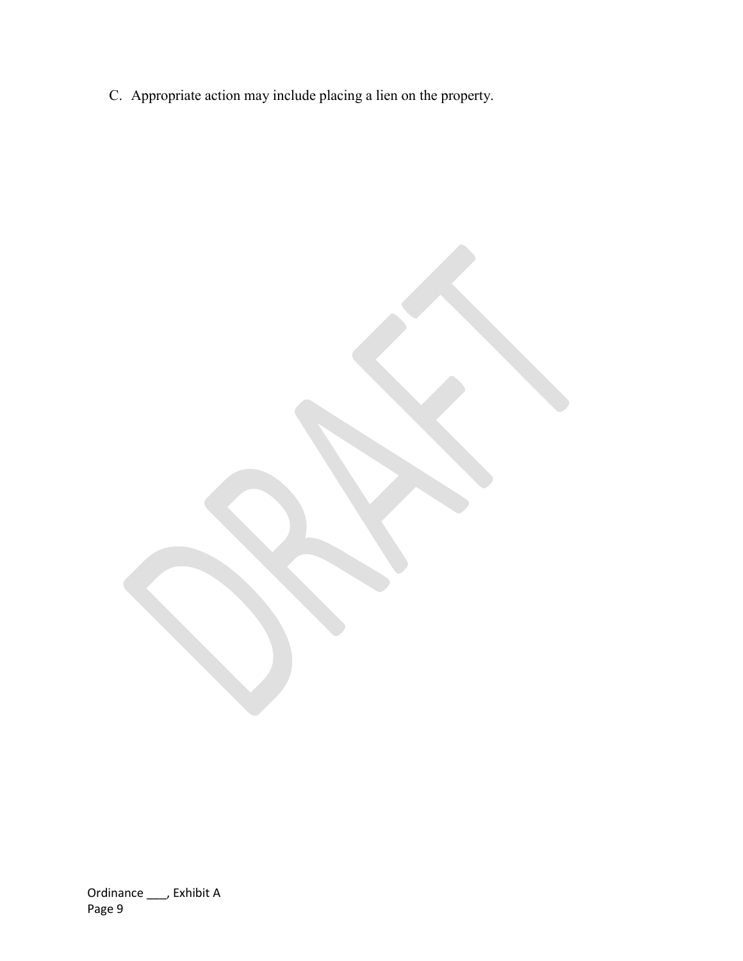C. Appropriate action may include placing a lien on the property.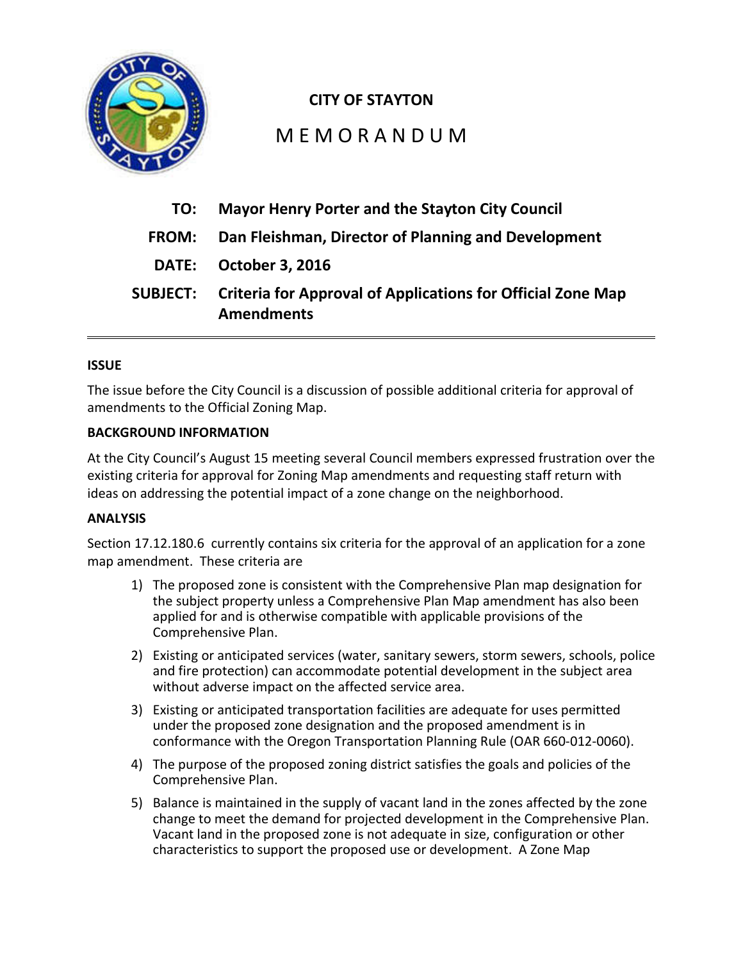

# **CITY OF STAYTON**

# M E M O R A N D U M

| TO:             | <b>Mayor Henry Porter and the Stayton City Council</b>                                  |
|-----------------|-----------------------------------------------------------------------------------------|
| <b>FROM:</b>    | Dan Fleishman, Director of Planning and Development                                     |
|                 | DATE: October 3, 2016                                                                   |
| <b>SUBJECT:</b> | <b>Criteria for Approval of Applications for Official Zone Map</b><br><b>Amendments</b> |

## **ISSUE**

The issue before the City Council is a discussion of possible additional criteria for approval of amendments to the Official Zoning Map.

## **BACKGROUND INFORMATION**

At the City Council's August 15 meeting several Council members expressed frustration over the existing criteria for approval for Zoning Map amendments and requesting staff return with ideas on addressing the potential impact of a zone change on the neighborhood.

#### **ANALYSIS**

Section 17.12.180.6 currently contains six criteria for the approval of an application for a zone map amendment. These criteria are

- 1) The proposed zone is consistent with the Comprehensive Plan map designation for the subject property unless a Comprehensive Plan Map amendment has also been applied for and is otherwise compatible with applicable provisions of the Comprehensive Plan.
- 2) Existing or anticipated services (water, sanitary sewers, storm sewers, schools, police and fire protection) can accommodate potential development in the subject area without adverse impact on the affected service area.
- 3) Existing or anticipated transportation facilities are adequate for uses permitted under the proposed zone designation and the proposed amendment is in conformance with the Oregon Transportation Planning Rule (OAR 660-012-0060).
- 4) The purpose of the proposed zoning district satisfies the goals and policies of the Comprehensive Plan.
- 5) Balance is maintained in the supply of vacant land in the zones affected by the zone change to meet the demand for projected development in the Comprehensive Plan. Vacant land in the proposed zone is not adequate in size, configuration or other characteristics to support the proposed use or development. A Zone Map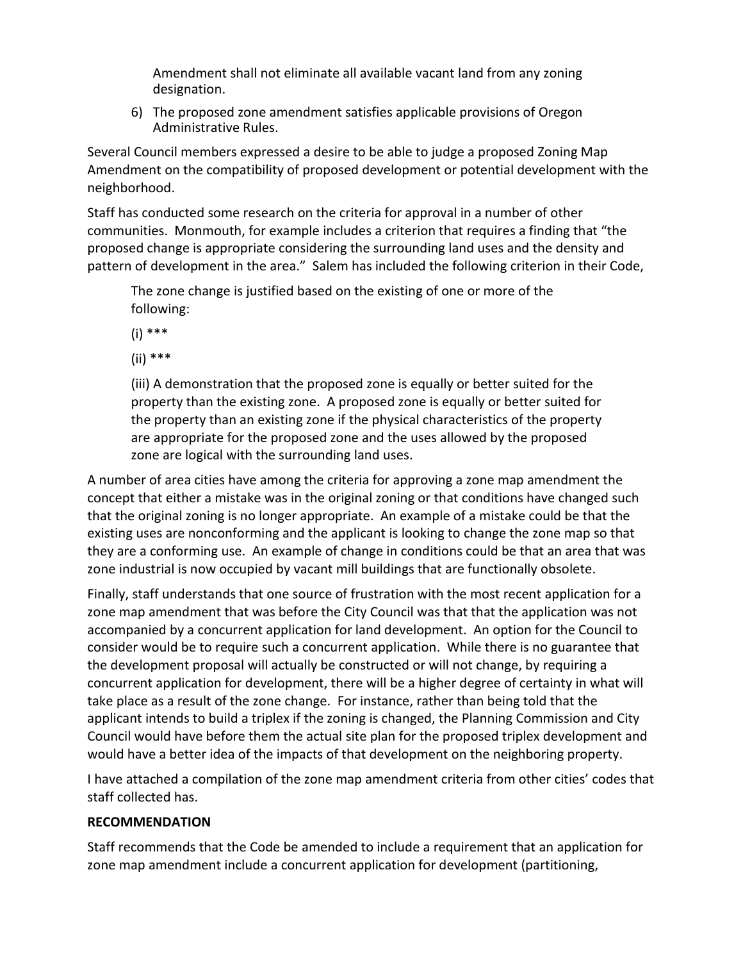Amendment shall not eliminate all available vacant land from any zoning designation.

6) The proposed zone amendment satisfies applicable provisions of Oregon Administrative Rules.

Several Council members expressed a desire to be able to judge a proposed Zoning Map Amendment on the compatibility of proposed development or potential development with the neighborhood.

Staff has conducted some research on the criteria for approval in a number of other communities. Monmouth, for example includes a criterion that requires a finding that "the proposed change is appropriate considering the surrounding land uses and the density and pattern of development in the area." Salem has included the following criterion in their Code,

The zone change is justified based on the existing of one or more of the following:

(i) \*\*\*

(ii) \*\*\*

(iii) A demonstration that the proposed zone is equally or better suited for the property than the existing zone. A proposed zone is equally or better suited for the property than an existing zone if the physical characteristics of the property are appropriate for the proposed zone and the uses allowed by the proposed zone are logical with the surrounding land uses.

A number of area cities have among the criteria for approving a zone map amendment the concept that either a mistake was in the original zoning or that conditions have changed such that the original zoning is no longer appropriate. An example of a mistake could be that the existing uses are nonconforming and the applicant is looking to change the zone map so that they are a conforming use. An example of change in conditions could be that an area that was zone industrial is now occupied by vacant mill buildings that are functionally obsolete.

Finally, staff understands that one source of frustration with the most recent application for a zone map amendment that was before the City Council was that that the application was not accompanied by a concurrent application for land development. An option for the Council to consider would be to require such a concurrent application. While there is no guarantee that the development proposal will actually be constructed or will not change, by requiring a concurrent application for development, there will be a higher degree of certainty in what will take place as a result of the zone change. For instance, rather than being told that the applicant intends to build a triplex if the zoning is changed, the Planning Commission and City Council would have before them the actual site plan for the proposed triplex development and would have a better idea of the impacts of that development on the neighboring property.

I have attached a compilation of the zone map amendment criteria from other cities' codes that staff collected has.

# **RECOMMENDATION**

Staff recommends that the Code be amended to include a requirement that an application for zone map amendment include a concurrent application for development (partitioning,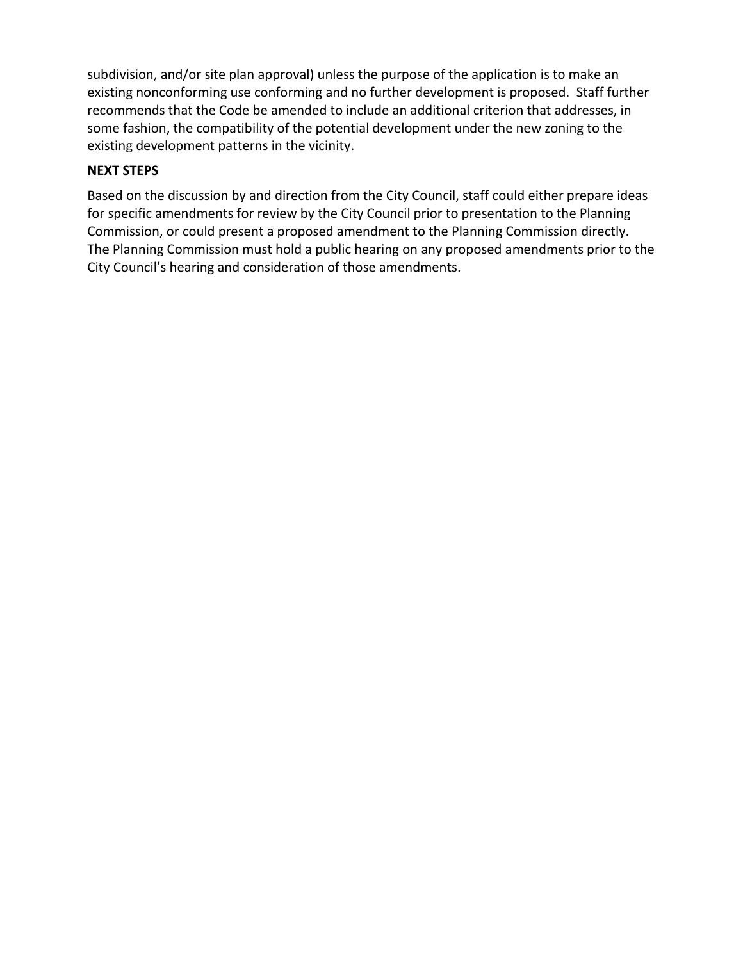subdivision, and/or site plan approval) unless the purpose of the application is to make an existing nonconforming use conforming and no further development is proposed. Staff further recommends that the Code be amended to include an additional criterion that addresses, in some fashion, the compatibility of the potential development under the new zoning to the existing development patterns in the vicinity.

# **NEXT STEPS**

Based on the discussion by and direction from the City Council, staff could either prepare ideas for specific amendments for review by the City Council prior to presentation to the Planning Commission, or could present a proposed amendment to the Planning Commission directly. The Planning Commission must hold a public hearing on any proposed amendments prior to the City Council's hearing and consideration of those amendments.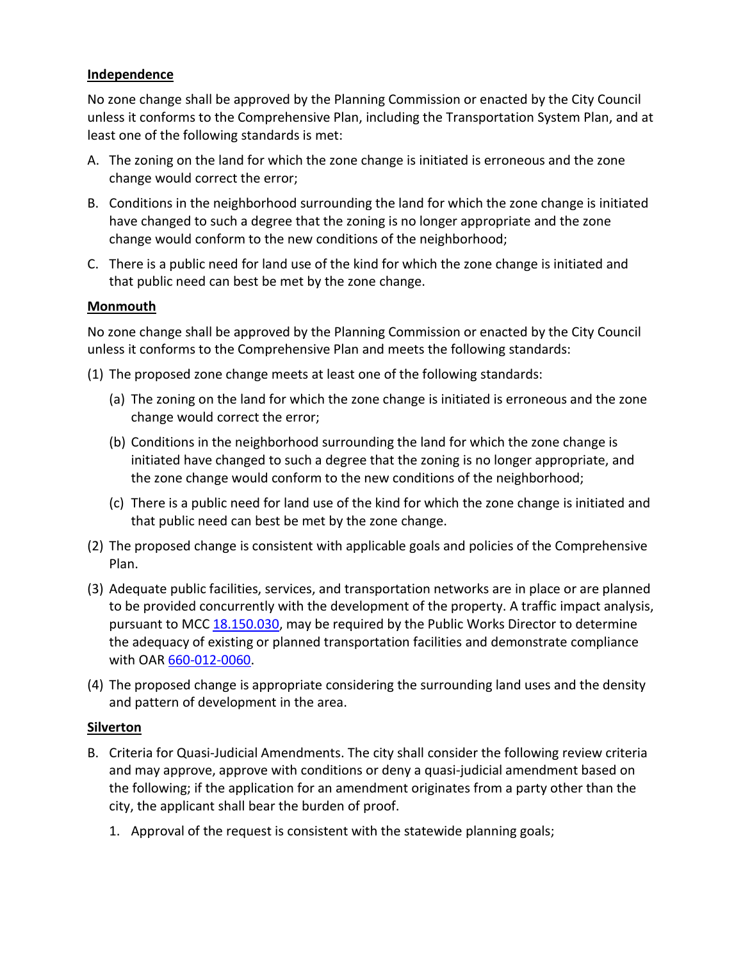## **Independence**

No zone change shall be approved by the Planning Commission or enacted by the City Council unless it conforms to the Comprehensive Plan, including the Transportation System Plan, and at least one of the following standards is met:

- A. The zoning on the land for which the zone change is initiated is erroneous and the zone change would correct the error;
- B. Conditions in the neighborhood surrounding the land for which the zone change is initiated have changed to such a degree that the zoning is no longer appropriate and the zone change would conform to the new conditions of the neighborhood;
- C. There is a public need for land use of the kind for which the zone change is initiated and that public need can best be met by the zone change.

## **Monmouth**

No zone change shall be approved by the Planning Commission or enacted by the City Council unless it conforms to the Comprehensive Plan and meets the following standards:

- (1) The proposed zone change meets at least one of the following standards:
	- (a) The zoning on the land for which the zone change is initiated is erroneous and the zone change would correct the error;
	- (b) Conditions in the neighborhood surrounding the land for which the zone change is initiated have changed to such a degree that the zoning is no longer appropriate, and the zone change would conform to the new conditions of the neighborhood;
	- (c) There is a public need for land use of the kind for which the zone change is initiated and that public need can best be met by the zone change.
- (2) The proposed change is consistent with applicable goals and policies of the Comprehensive Plan.
- (3) Adequate public facilities, services, and transportation networks are in place or are planned to be provided concurrently with the development of the property. A traffic impact analysis, pursuant to MCC 18.150.030, may be required by the Public Works Director to determine the adequacy of existing or planned transportation facilities and demonstrate compliance with OAR 660-012-0060.
- (4) The proposed change is appropriate considering the surrounding land uses and the density and pattern of development in the area.

#### **Silverton**

- B. Criteria for Quasi-Judicial Amendments. The city shall consider the following review criteria and may approve, approve with conditions or deny a quasi-judicial amendment based on the following; if the application for an amendment originates from a party other than the city, the applicant shall bear the burden of proof.
	- 1. Approval of the request is consistent with the statewide planning goals;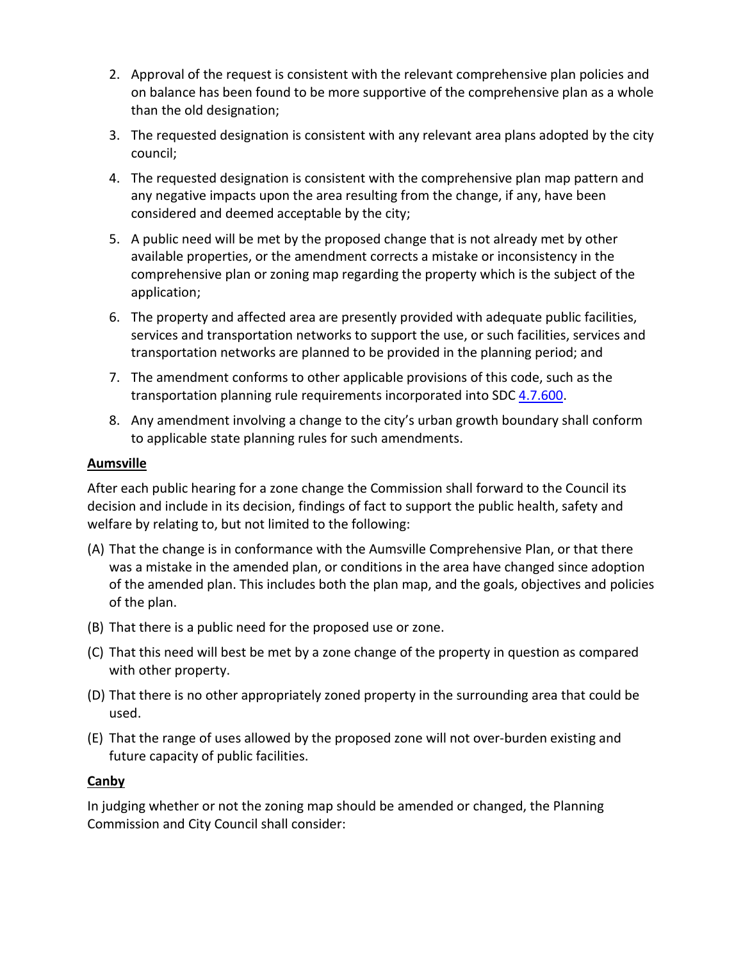- 2. Approval of the request is consistent with the relevant comprehensive plan policies and on balance has been found to be more supportive of the comprehensive plan as a whole than the old designation;
- 3. The requested designation is consistent with any relevant area plans adopted by the city council;
- 4. The requested designation is consistent with the comprehensive plan map pattern and any negative impacts upon the area resulting from the change, if any, have been considered and deemed acceptable by the city;
- 5. A public need will be met by the proposed change that is not already met by other available properties, or the amendment corrects a mistake or inconsistency in the comprehensive plan or zoning map regarding the property which is the subject of the application;
- 6. The property and affected area are presently provided with adequate public facilities, services and transportation networks to support the use, or such facilities, services and transportation networks are planned to be provided in the planning period; and
- 7. The amendment conforms to other applicable provisions of this code, such as the transportation planning rule requirements incorporated into SDC 4.7.600.
- 8. Any amendment involving a change to the city's urban growth boundary shall conform to applicable state planning rules for such amendments.

# **Aumsville**

After each public hearing for a zone change the Commission shall forward to the Council its decision and include in its decision, findings of fact to support the public health, safety and welfare by relating to, but not limited to the following:

- (A) That the change is in conformance with the Aumsville Comprehensive Plan, or that there was a mistake in the amended plan, or conditions in the area have changed since adoption of the amended plan. This includes both the plan map, and the goals, objectives and policies of the plan.
- (B) That there is a public need for the proposed use or zone.
- (C) That this need will best be met by a zone change of the property in question as compared with other property.
- (D) That there is no other appropriately zoned property in the surrounding area that could be used.
- (E) That the range of uses allowed by the proposed zone will not over-burden existing and future capacity of public facilities.

# **Canby**

In judging whether or not the zoning map should be amended or changed, the Planning Commission and City Council shall consider: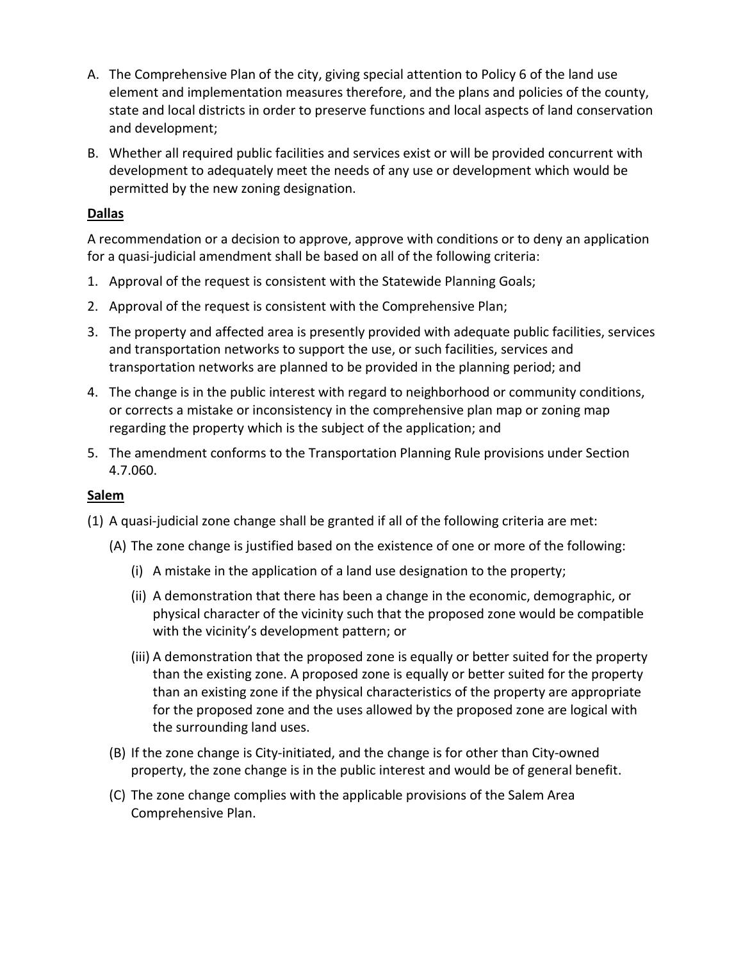- A. The Comprehensive Plan of the city, giving special attention to Policy 6 of the land use element and implementation measures therefore, and the plans and policies of the county, state and local districts in order to preserve functions and local aspects of land conservation and development;
- B. Whether all required public facilities and services exist or will be provided concurrent with development to adequately meet the needs of any use or development which would be permitted by the new zoning designation.

# **Dallas**

A recommendation or a decision to approve, approve with conditions or to deny an application for a quasi-judicial amendment shall be based on all of the following criteria:

- 1. Approval of the request is consistent with the Statewide Planning Goals;
- 2. Approval of the request is consistent with the Comprehensive Plan;
- 3. The property and affected area is presently provided with adequate public facilities, services and transportation networks to support the use, or such facilities, services and transportation networks are planned to be provided in the planning period; and
- 4. The change is in the public interest with regard to neighborhood or community conditions, or corrects a mistake or inconsistency in the comprehensive plan map or zoning map regarding the property which is the subject of the application; and
- 5. The amendment conforms to the Transportation Planning Rule provisions under Section 4.7.060.

#### **Salem**

- (1) A quasi-judicial zone change shall be granted if all of the following criteria are met:
	- (A) The zone change is justified based on the existence of one or more of the following:
		- (i) A mistake in the application of a land use designation to the property;
		- (ii) A demonstration that there has been a change in the economic, demographic, or physical character of the vicinity such that the proposed zone would be compatible with the vicinity's development pattern; or
		- (iii) A demonstration that the proposed zone is equally or better suited for the property than the existing zone. A proposed zone is equally or better suited for the property than an existing zone if the physical characteristics of the property are appropriate for the proposed zone and the uses allowed by the proposed zone are logical with the surrounding land uses.
	- (B) If the zone change is City-initiated, and the change is for other than City-owned property, the zone change is in the public interest and would be of general benefit.
	- (C) The zone change complies with the applicable provisions of the Salem Area Comprehensive Plan.